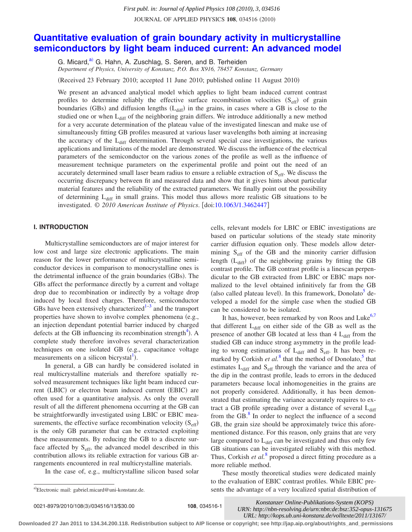JOURNAL OF APPLIED PHYSICS 108, 034516 (2010)

# **[Quantitative evaluation of grain boundary activity in multicrystalline](http://dx.doi.org/10.1063/1.3462447) [semiconductors by light beam induced current: An advanced model](http://dx.doi.org/10.1063/1.3462447)**

G. Micard,<sup>a)</sup> G. Hahn, A. Zuschlag, S. Seren, and B. Terheiden

*Department of Physics, University of Konstanz, P.O. Box X916, 78457 Konstanz, Germany*

(Received 23 February 2010; accepted 11 June 2010; published online 11 August 2010)

We present an advanced analytical model which applies to light beam induced current contrast profiles to determine reliably the effective surface recombination velocities  $(S_{\text{eff}})$  of grain boundaries (GBs) and diffusion lengths (L<sub>diff</sub>) in the grains, in cases where a GB is close to the studied one or when  $L_{\text{diff}}$  of the neighboring grain differs. We introduce additionally a new method for a very accurate determination of the plateau value of the investigated linescan and make use of simultaneously fitting GB profiles measured at various laser wavelengths both aiming at increasing the accuracy of the L<sub>diff</sub> determination. Through several special case investigations, the various applications and limitations of the model are demonstrated. We discuss the influence of the electrical parameters of the semiconductor on the various zones of the profile as well as the influence of measurement technique parameters on the experimental profile and point out the need of an accurately determined small laser beam radius to ensure a reliable extraction of S<sub>eff</sub>. We discuss the occurring discrepancy between fit and measured data and show that it gives hints about particular material features and the reliability of the extracted parameters. We finally point out the possibility of determining  $L_{\text{diff}}$  in small grains. This model thus allows more realistic GB situations to be investigated. © 2010 American Institute of Physics. [doi[:10.1063/1.3462447](http://dx.doi.org/10.1063/1.3462447)] **Downloaded 27 Jan 2011 to 134.200.11 to 134.200.11 to 134.200.11 to 134.200.11 to 134.200.11 to 134.200.11 to 134.200.11 to 134.200.11 to 134.200.11 to 134.200.11 to 134.200.11 to 134.200.11 to 134.200.11 to 134.200.11 to** 

### **I. INTRODUCTION**

Multicrystalline semiconductors are of major interest for low cost and large size electronic applications. The main reason for the lower performance of multicrystalline semiconductor devices in comparison to monocrystalline ones is the detrimental influence of the grain boundaries (GBs). The GBs affect the performance directly by a current and voltage drop due to recombination or indirectly by a voltage drop induced by local fixed charges. Therefore, semiconductor GBs have been extensively characterized<sup> $1-3$ </sup> and the transport properties have shown to involve complex phenomena (e.g., an injection dependant potential barrier induced by charged defects at the GB influencing its recombination strength<sup>4</sup>). A complete study therefore involves several characterization techniques on one isolated GB (e.g., capacitance voltage measurements on a silicon bicrystal<sup>1</sup>).

In general, a GB can hardly be considered isolated in real multicrystalline materials and therefore spatially resolved measurement techniques like light beam induced current (LBIC) or electron beam induced current (EBIC) are often used for a quantitative analysis. As only the overall result of all the different phenomena occurring at the GB can be straightforwardly investigated using LBIC or EBIC measurements, the effective surface recombination velocity  $(S_{\text{eff}})$ is the only GB parameter that can be extracted exploiting these measurements. By reducing the GB to a discrete surface affected by  $S<sub>eff</sub>$ , the advanced model described in this contribution allows its reliable extraction for various GB arrangements encountered in real multicrystalline materials.

In the case of, e.g., multicrystalline silicon based solar

cells, relevant models for LBIC or EBIC investigations are based on particular solutions of the steady state minority carrier diffusion equation only. These models allow determining  $S<sub>eff</sub>$  of the GB and the minority carrier diffusion length (L<sub>diff</sub>) of the neighboring grains by fitting the GB contrast profile. The GB contrast profile is a linescan perpendicular to the GB extracted from LBIC or EBIC maps normalized to the level obtained infinitively far from the GB (also called plateau level). In this framework, Donolato<sup>5</sup> developed a model for the simple case when the studied GB can be considered to be isolated.

It has, however, been remarked by von Roos and Luke $6,7$  $6,7$ that different  $L_{diff}$  on either side of the GB as well as the presence of another GB located at less than  $4 L_{diff}$  from the studied GB can induce strong asymmetry in the profile leading to wrong estimations of L<sub>diff</sub> and S<sub>eff</sub>. It has been remarked by Corkish  $et al.<sup>8</sup>$  $et al.<sup>8</sup>$  $et al.<sup>8</sup>$  that the method of Donolato,<sup>5</sup> that estimates  $L_{diff}$  and  $S_{eff}$  through the variance and the area of the dip in the contrast profile, leads to errors in the deduced parameters because local inhomogeneities in the grains are not properly considered. Additionally, it has been demonstrated that estimating the variance accurately requires to extract a GB profile spreading over a distance of several  $L_{diff}$ from the GB. $<sup>8</sup>$  In order to neglect the influence of a second</sup> GB, the grain size should be approximately twice this aforementioned distance. For this reason, only grains that are very large compared to  $L_{diff}$  can be investigated and thus only few GB situations can be investigated reliably with this method. Thus, Corkish *et al.*<sup>[8](#page-12-6)</sup> proposed a direct fitting procedure as a more reliable method.

These mostly theoretical studies were dedicated mainly to the evaluation of EBIC contrast profiles. While EBIC presents the advantage of a very localized spatial distribution of

/034516/13/\$30.00 © 2010 American Institute of Physics **108**, 034516-1 *[URN: http://nbn-resolving.de/urn:nbn:de:bsz:352-opus-131675](http://nbn-resolving.de/urn:nbn:de:bsz:352-opus-131675)  Konstanzer Online-Publikations-System (KOPS) URL: http://kops.ub.uni-konstanz.de/volltexte/2011/13167/*

a)Electronic mail: gabriel.micard@uni-konstanz.de.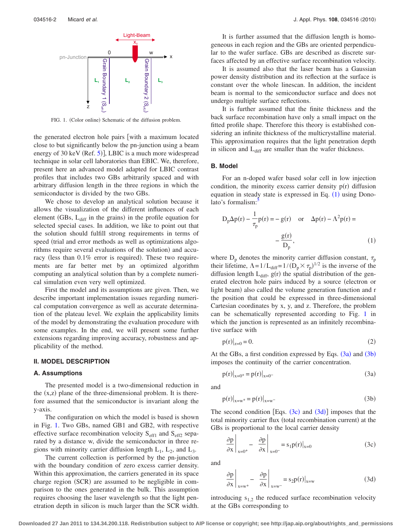<span id="page-1-0"></span>

FIG. 1. (Color online) Schematic of the diffusion problem.

the generated electron hole pairs with a maximum located close to but significantly below the pn-junction using a beam energy of 30 keV (Ref. [5](#page-12-3))], LBIC is a much more widespread technique in solar cell laboratories than EBIC. We, therefore, present here an advanced model adapted for LBIC contrast profiles that includes two GBs arbitrarily spaced and with arbitrary diffusion length in the three regions in which the semiconductor is divided by the two GBs.

We chose to develop an analytical solution because it allows the visualization of the different influences of each element (GBs, L<sub>diff</sub> in the grains) in the profile equation for selected special cases. In addition, we like to point out that the solution should fulfill strong requirements in terms of speed (trial and error methods as well as optimizations algorithms require several evaluations of the solution) and accuracy (less than 0.1% error is required). These two requirements are far better met by an optimized algorithm computing an analytical solution than by a complete numerical simulation even very well optimized.

First the model and its assumptions are given. Then, we describe important implementation issues regarding numerical computation convergence as well as accurate determination of the plateau level. We explain the applicability limits of the model by demonstrating the evaluation procedure with some examples. In the end, we will present some further extensions regarding improving accuracy, robustness and applicability of the method.

#### **II. MODEL DESCRIPTION**

### **A. Assumptions**

The presented model is a two-dimensional reduction in the  $(x, z)$  plane of the three-dimensional problem. It is therefore assumed that the semiconductor is invariant along the y-axis.

The configuration on which the model is based is shown in Fig. [1.](#page-1-0) Two GBs, named GB1 and GB2, with respective effective surface recombination velocity  $S_{\text{eff1}}$  and  $S_{\text{eff2}}$  separated by a distance w, divide the semiconductor in three regions with minority carrier diffusion length  $L_1$ ,  $L_2$ , and  $L_3$ .

The current collection is performed by the pn-junction with the boundary condition of zero excess carrier density. Within this approximation, the carriers generated in its space charge region (SCR) are assumed to be negligible in comparison to the ones generated in the bulk. This assumption requires choosing the laser wavelength so that the light penetration depth in silicon is much larger than the SCR width.

It is further assumed that the diffusion length is homogeneous in each region and the GBs are oriented perpendicular to the wafer surface. GBs are described as discrete surfaces affected by an effective surface recombination velocity.

It is assumed also that the laser beam has a Gaussian power density distribution and its reflection at the surface is constant over the whole linescan. In addition, the incident beam is normal to the semiconductor surface and does not undergo multiple surface reflections.

It is further assumed that the finite thickness and the back surface recombination have only a small impact on the fitted profile shape. Therefore this theory is established considering an infinite thickness of the multicrystalline material. This approximation requires that the light penetration depth in silicon and  $L_{diff}$  are smaller than the wafer thickness.

### **B. Model**

For an n-doped wafer based solar cell in low injection condition, the minority excess carrier density  $p(r)$  diffusion equation in steady state is expressed in Eq.  $(1)$  $(1)$  $(1)$  using Donolato's formalism: $\cdot$ 

<span id="page-1-1"></span>
$$
D_{p}\Delta p(r) - \frac{1}{\tau_{p}}p(r) = -g(r) \quad \text{or} \quad \Delta p(r) - \Lambda^{2}p(r) = -\frac{g(r)}{D_{p}},
$$
\n(1)

where  $D_p$  denotes the minority carrier diffusion constant,  $\tau_p$ their lifetime,  $\Lambda = 1/L_{\text{diff}} = 1/(D_p \times \tau_p)^{1/2}$  is the inverse of the diffusion length  $L_{diff}$ ,  $g(r)$  the spatial distribution of the generated electron hole pairs induced by a source (electron or light beam) also called the volume generation function and r the position that could be expressed in three-dimensional Cartesian coordinates by x, y, and z. Therefore, the problem can be schematically represented according to Fig. [1](#page-1-0) in which the junction is represented as an infinitely recombinative surface with

$$
p(r)|_{z=0} = 0.
$$
 (2)

<span id="page-1-6"></span>At the GBs, a first condition expressed by Eqs.  $(3a)$  $(3a)$  $(3a)$  and  $(3b)$  $(3b)$  $(3b)$ imposes the continuity of the carrier concentration.

$$
p(r)|_{x=0^+} = p(r)|_{x=0^-}
$$
 (3a)

<span id="page-1-3"></span><span id="page-1-2"></span>and

$$
p(r)|_{x=w^{+}} = p(r)|_{x=w^{-}}
$$
 (3b)

The second condition [Eqs.  $(3c)$  $(3c)$  $(3c)$  and  $(3d)$  $(3d)$  $(3d)$ ] imposes that the total minority carrier flux (total recombination current) at the GBs is proportional to the local carrier density

<span id="page-1-4"></span>
$$
\frac{\partial p}{\partial x}\Big|_{x=0^+} - \frac{\partial p}{\partial x}\Big|_{x=0^-} = s_1 p(r)|_{x=0}
$$
 (3c)

<span id="page-1-5"></span>and

$$
\frac{\partial p}{\partial x}\Big|_{x=w^{+}} - \frac{\partial p}{\partial x}\Big|_{x=w^{-}} = s_2 p(r)|_{x=w}
$$
\n(3d)

introducing  $s_{1,2}$  the reduced surface recombination velocity at the GBs corresponding to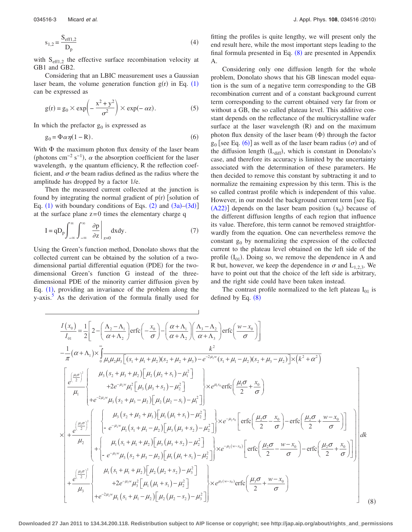$$
s_{1,2} = \frac{S_{\text{eff1,2}}}{D_p} \tag{4}
$$

with  $S_{\text{eff1,2}}$  the effective surface recombination velocity at GB1 and GB2.

Considering that an LBIC measurement uses a Gaussian laser beam, the volume generation function  $g(r)$  in Eq. ([1](#page-1-1)) can be expressed as

<span id="page-2-3"></span>
$$
g(r) = g_0 \times \exp\left(-\frac{x^2 + y^2}{\sigma^2}\right) \times \exp(-\alpha z). \tag{5}
$$

<span id="page-2-1"></span>In which the prefactor  $g_0$  is expressed as

$$
g_0 = \Phi \alpha \eta (1 - R). \tag{6}
$$

With  $\Phi$  the maximum photon flux density of the laser beam (photons cm<sup>-2</sup> s<sup>-1</sup>),  $\alpha$  the absorption coefficient for the laser wavelength,  $\eta$  the quantum efficiency, R the reflection coefficient, and  $\sigma$  the beam radius defined as the radius where the amplitude has dropped by a factor 1/e.

Then the measured current collected at the junction is found by integrating the normal gradient of  $p(r)$  [solution of Eq. ([1](#page-1-1)) with boundary conditions of Eqs.  $(2)$  $(2)$  $(2)$  and  $(3a)$  $(3a)$  $(3a)$ – $(3d)$  $(3d)$  $(3d)$ ] at the surface plane  $z=0$  times the elementary charge q

<span id="page-2-2"></span>
$$
I = qD_p \int_{-\infty}^{\infty} \int_{-\infty}^{\infty} \frac{\partial p}{\partial z} \bigg|_{z=0} dxdy.
$$
 (7)

Using the Green's function method, Donolato shows that the collected current can be obtained by the solution of a twodimensional partial differential equation (PDE) for the twodimensional Green's function G instead of the threedimensional PDE of the minority carrier diffusion given by Eq.  $(1)$  $(1)$  $(1)$ , providing an invariance of the problem along the y-axis.<sup>5</sup> As the derivation of the formula finally used for fitting the profiles is quite lengthy, we will present only the end result here, while the most important steps leading to the final formula presented in Eq.  $(8)$  $(8)$  $(8)$  are presented in Appendix A.

Considering only one diffusion length for the whole problem, Donolato shows that his GB linescan model equation is the sum of a negative term corresponding to the GB recombination current and of a constant background current term corresponding to the current obtained very far from or without a GB, the so called plateau level. This additive constant depends on the reflectance of the multicrystalline wafer surface at the laser wavelength (R) and on the maximum photon flux density of the laser beam  $(\Phi)$  through the factor  $g_0$  [see Eq. ([6](#page-2-1))] as well as of the laser beam radius ( $\sigma$ ) and of the diffusion length  $(L_{diff})$ , which is constant in Donolato's case, and therefore its accuracy is limited by the uncertainty associated with the determination of these parameters. He then decided to remove this constant by subtracting it and to normalize the remaining expression by this term. This is the so called contrast profile which is independent of this value. However, in our model the background current term [see Eq.  $(A22)$  $(A22)$  $(A22)$ ] depends on the laser beam position  $(x_0)$  because of the different diffusion lengths of each region that influence its value. Therefore, this term cannot be removed straightforwardly from the equation. One can nevertheless remove the constant  $g_0$  by normalizing the expression of the collected current to the plateau level obtained on the left side of the profile  $(I_{01})$ . Doing so, we remove the dependence in A and R but, however, we keep the dependence in  $\sigma$  and  $L_{1,2,3}$ . We have to point out that the choice of the left side is arbitrary, and the right side could have been taken instead.

The contrast profile normalized to the left plateau  $I_{01}$  is defined by Eq.  $(8)$  $(8)$  $(8)$ 

<span id="page-2-0"></span>
$$
\frac{I(x_0)}{I_{01}} = \frac{1}{2} \left[ 2 - \left( \frac{\Lambda_2 - \Lambda_1}{\alpha + \Lambda_2} \right) \text{erfc} \left( - \frac{x_0}{\sigma} \right) - \left( \frac{\alpha + \Lambda_1}{\alpha + \Lambda_2} \right) \left( \frac{\Lambda_3 - \Lambda_2}{\alpha + \Lambda_3} \right) \text{erfc} \left( \frac{w - x_0}{\sigma} \right) \right] \n- \frac{1}{\pi} (\alpha + \Lambda_1) \times \int_0^{\pi} \frac{k^2}{\mu_1 \mu_2 \mu_3 \left[ (s_1 + \mu_1 + \mu_2) (s_2 + \mu_2 + \mu_3) - e^{-2\mu_2 w} (s_1 + \mu_1 - \mu_2) (s_2 + \mu_3 - \mu_2) \right] \times (k^2 + \alpha^2) \n- \frac{e^{\left( \frac{\mu_0 \sigma}{2} \right)^2}}{\mu_1} \left\{ \begin{array}{l} \mu_3 (s_2 + \mu_3 + \mu_2) \left[ \mu_2 (\mu_2 + s_1) - \mu_1^2 \right] \\ + e^{-2\mu_3 w} \mu_3 (s_2 + \mu_3 - \mu_2) \left[ \mu_2 (\mu_2 - s_1) - \mu_1^2 \right] \end{array} \right\} \times e^{\mu_1 x_0} \text{erfc} \left( \frac{\mu_1 \sigma}{2} + \frac{x_0}{\sigma} \right) \n\times \left[ \frac{\mu_3 \sigma_3^2}{4} \left[ \mu_3 (s_2 + \mu_3 - \mu_2) \left[ \mu_2 (\mu_2 - s_1) - \mu_1^2 \right] \right] \times e^{-\mu_2 x_0} \left[ \text{erfc} \left( \frac{\mu_2 \sigma}{2} - \frac{x_0}{\sigma} \right) - \text{erfc} \left( \frac{\mu_2 \sigma}{2} + \frac{w - x_0}{\sigma} \right) \right] \right] \n\times \left[ \frac{\mu_3 \sigma_3^2}{4} \left\{ \begin{array}{l} \mu_3 (s_2 + \mu_3 + \mu_2) \left[ \mu_3 (\mu_3 + s_2) - \mu_2^2 \right] \\ - e^{-\mu_3 w} \mu_1 (s_1 + \mu_1
$$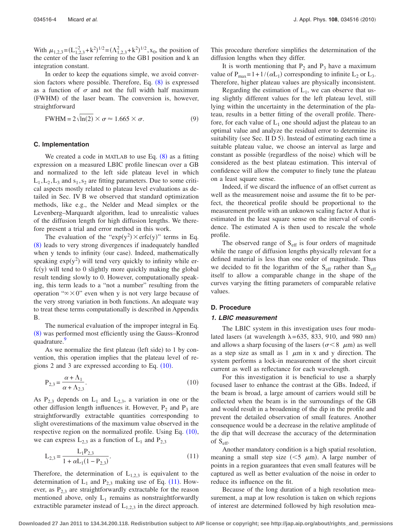With  $\mu_{1,2,3} = (L_{1,2,3}^{-2} + k^2)^{1/2} = (\Lambda_{1,2,3}^2 + k^2)^{1/2}$ ,  $x_0$ , the position of the center of the laser referring to the GB1 position and k an integration constant.

In order to keep the equations simple, we avoid conver-sion factors where possible. Therefore, Eq. ([8](#page-2-0)) is expressed as a function of  $\sigma$  and not the full width half maximum (FWHM) of the laser beam. The conversion is, however, straightforward

$$
\text{FWHM} = 2\sqrt{\ln(2)} \times \sigma \approx 1.665 \times \sigma. \tag{9}
$$

### **C. Implementation**

We created a code in MATLAB to use Eq.  $(8)$  $(8)$  $(8)$  as a fitting expression on a measured LBIC profile linescan over a GB and normalized to the left side plateau level in which  $L_1, L_2, L_3$  and  $s_1, s_2$  are fitting parameters. Due to some critical aspects mostly related to plateau level evaluations as detailed in Sec. IV B we observed that standard optimization methods, like e.g., the Nelder and Mead simplex or the Levenberg–Marquardt algorithm, lead to unrealistic values of the diffusion length for high diffusion lengths. We therefore present a trial and error method in this work.

The evaluation of the "exp(y<sup>2</sup>)  $\times$  erfc(y)" terms in Eq. ([8](#page-2-0)) leads to very strong divergences if inadequately handled when y tends to infinity (our case). Indeed, mathematically speaking  $exp(y^2)$  will tend very quickly to infinity while erfc(y) will tend to 0 slightly more quickly making the global result tending slowly to 0. However, computationally speaking, this term leads to a "not a number" resulting from the operation " $\infty \times 0$ " even when y is not very large because of the very strong variation in both functions. An adequate way to treat these terms computationally is described in Appendix B.

The numerical evaluation of the improper integral in Eq. ([8](#page-2-0)) was performed most efficiently using the Gauss-Kronrod quadrature.

As we normalize the first plateau (left side) to 1 by convention, this operation implies that the plateau level of regions 2 and 3 are expressed according to Eq.  $(10)$  $(10)$  $(10)$ .

<span id="page-3-0"></span>
$$
P_{2,3} = \frac{\alpha + \Lambda_1}{\alpha + \Lambda_{2,3}}.\tag{10}
$$

As  $P_{2,3}$  depends on  $L_1$  and  $L_{2,3}$ , a variation in one or the other diffusion length influences it. However,  $P_2$  and  $P_3$  are straightforwardly extractable quantities corresponding to slight overestimations of the maximum value observed in the respective region on the normalized profile. Using Eq.  $(10)$  $(10)$  $(10)$ , we can express  $L_{2,3}$  as a function of  $L_1$  and  $P_{2,3}$ 

<span id="page-3-1"></span>
$$
L_{2,3} = \frac{L_1 P_{2,3}}{1 + \alpha L_1 (1 - P_{2,3})}.
$$
\n(11)

Therefore, the determination of  $L_{1,2,3}$  is equivalent to the determination of  $L_1$  and  $P_{2,3}$  making use of Eq. ([11](#page-3-1)). However, as  $P_{2,3}$  are straightforwardly extractable for the reason mentioned above, only  $L_1$  remains as nonstraightforwardly extractible parameter instead of  $L_{1,2,3}$  in the direct approach.

This procedure therefore simplifies the determination of the diffusion lengths when they differ.

It is worth mentioning that  $P_2$  and  $P_3$  have a maximum value of  $P_{\text{max}} = 1 + 1/(\alpha L_1)$  corresponding to infinite  $L_2$  or  $L_3$ . Therefore, higher plateau values are physically inconsistent.

Regarding the estimation of  $L_1$ , we can observe that using slightly different values for the left plateau level, still lying within the uncertainty in the determination of the plateau, results in a better fitting of the overall profile. Therefore, for each value of  $L_1$  one should adjust the plateau to an optimal value and analyze the residual error to determine its suitability (see Sec. II D 5). Instead of estimating each time a suitable plateau value, we choose an interval as large and constant as possible (regardless of the noise) which will be considered as the best plateau estimation. This interval of confidence will allow the computer to finely tune the plateau on a least square sense.

Indeed, if we discard the influence of an offset current as well as the measurement noise and assume the fit to be perfect, the theoretical profile should be proportional to the measurement profile with an unknown scaling factor A that is estimated in the least square sense on the interval of confidence. The estimated A is then used to rescale the whole profile.

The observed range of  $S<sub>eff</sub>$  is four orders of magnitude while the range of diffusion lengths physically relevant for a defined material is less than one order of magnitude. Thus we decided to fit the logarithm of the  $S_{\text{eff}}$  rather than  $S_{\text{eff}}$ itself to allow a comparable change in the shape of the curves varying the fitting parameters of comparable relative values.

### **D. Procedure**

# *1. LBIC measurement*

The LBIC system in this investigation uses four modulated lasers (at wavelength  $\lambda = 635$ , 833, 910, and 980 nm) and allows a sharp focusing of the lasers ( $\sigma < 8$   $\mu$ m) as well as a step size as small as  $1 \mu m$  in x and y direction. The system performs a lock-in measurement of the short circuit current as well as reflectance for each wavelength.

For this investigation it is beneficial to use a sharply focused laser to enhance the contrast at the GBs. Indeed, if the beam is broad, a large amount of carriers would still be collected when the beam is in the surroundings of the GB and would result in a broadening of the dip in the profile and prevent the detailed observation of small features. Another consequence would be a decrease in the relative amplitude of the dip that will decrease the accuracy of the determination of  $S_{\text{eff}}$ .

Another mandatory condition is a high spatial resolution, meaning a small step size  $(< 5 \mu m$ ). A large number of points in a region guarantees that even small features will be captured as well as better evaluation of the noise in order to reduce its influence on the fit.

Because of the long duration of a high resolution measurement, a map at low resolution is taken on which regions of interest are determined followed by high resolution mea-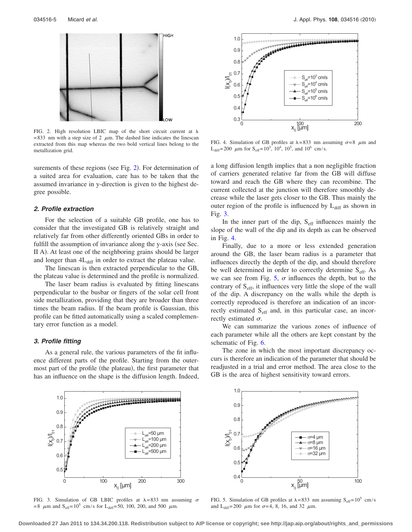<span id="page-4-0"></span>

FIG. 2. High resolution LBIC map of the short circuit current at  $\lambda$ = 833 nm with a step size of 2  $\mu$ m. The dashed line indicates the linescan extracted from this map whereas the two bold vertical lines belong to the metallization grid.

surements of these regions (see Fig. [2](#page-4-0)). For determination of a suited area for evaluation, care has to be taken that the assumed invariance in y-direction is given to the highest degree possible.

#### *2. Profile extraction*

For the selection of a suitable GB profile, one has to consider that the investigated GB is relatively straight and relatively far from other differently oriented GBs in order to fulfill the assumption of invariance along the y-axis (see Sec. II A). At least one of the neighboring grains should be larger and longer than  $4L_{diff}$  in order to extract the plateau value.

The linescan is then extracted perpendicular to the GB, the plateau value is determined and the profile is normalized.

The laser beam radius is evaluated by fitting linescans perpendicular to the busbar or fingers of the solar cell front side metallization, providing that they are broader than three times the beam radius. If the beam profile is Gaussian, this profile can be fitted automatically using a scaled complementary error function as a model.

#### *3. Profile fitting*

As a general rule, the various parameters of the fit influence different parts of the profile. Starting from the outermost part of the profile (the plateau), the first parameter that has an influence on the shape is the diffusion length. Indeed,

<span id="page-4-2"></span>

FIG. 4. Simulation of GB profiles at  $\lambda = 833$  nm assuming  $\sigma = 8$   $\mu$ m and  $L_{diff}$ = 200  $\mu$ m for S<sub>eff</sub>= 10<sup>3</sup>, 10<sup>4</sup>, 10<sup>5</sup>, and 10<sup>6</sup> cm/s.

a long diffusion length implies that a non negligible fraction of carriers generated relative far from the GB will diffuse toward and reach the GB where they can recombine. The current collected at the junction will therefore smoothly decrease while the laser gets closer to the GB. Thus mainly the outer region of the profile is influenced by  $L_{diff}$  as shown in Fig. [3.](#page-4-1)

In the inner part of the dip,  $S_{\text{eff}}$  influences mainly the slope of the wall of the dip and its depth as can be observed in Fig. [4.](#page-4-2)

Finally, due to a more or less extended generation around the GB, the laser beam radius is a parameter that influences directly the depth of the dip, and should therefore be well determined in order to correctly determine  $S_{\text{eff}}$ . As we can see from Fig. [5,](#page-4-3)  $\sigma$  influences the depth, but to the contrary of  $S<sub>eff</sub>$ , it influences very little the slope of the wall of the dip. A discrepancy on the walls while the depth is correctly reproduced is therefore an indication of an incorrectly estimated  $S<sub>eff</sub>$  and, in this particular case, an incorrectly estimated  $\sigma$ .

We can summarize the various zones of influence of each parameter while all the others are kept constant by the schematic of Fig. [6.](#page-5-0)

The zone in which the most important discrepancy occurs is therefore an indication of the parameter that should be readjusted in a trial and error method. The area close to the GB is the area of highest sensitivity toward errors.

<span id="page-4-1"></span>

FIG. 3. Simulation of GB LBIC profiles at  $\lambda = 833$  nm assuming  $\sigma$ = 8  $\mu$ m and S<sub>eff</sub>= 10<sup>5</sup> cm/s for L<sub>diff</sub>= 50, 100, 200, and 500  $\mu$ m.

<span id="page-4-3"></span>

FIG. 5. Simulation of GB profiles at  $\lambda = 833$  nm assuming S<sub>eff</sub>=10<sup>5</sup> cm/s and L<sub>diff</sub>= 200  $\mu$ m for  $\sigma$ =4, 8, 16, and 32  $\mu$ m.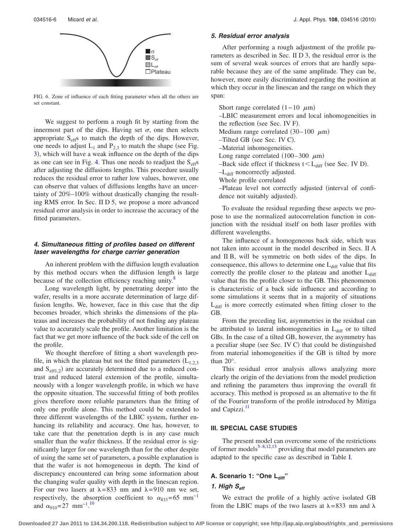<span id="page-5-0"></span>

FIG. 6. Zone of influence of each fitting parameter when all the others are set constant.

We suggest to perform a rough fit by starting from the innermost part of the dips. Having set  $\sigma$ , one then selects appropriate  $S_{\text{eff}}s$  to match the depth of the dips. However, one needs to adjust  $L_1$  and  $P_{2,3}$  to match the shape (see Fig. [3](#page-4-1), which will have a weak influence on the depth of the dips as one can see in Fig. [4.](#page-4-2) Thus one needs to readjust the  $S_{\text{eff}}s$ after adjusting the diffusions lengths. This procedure usually reduces the residual error to rather low values, however, one can observe that values of diffusions lengths have an uncertainty of 20%–100% without drastically changing the resulting RMS error. In Sec. II D 5, we propose a more advanced residual error analysis in order to increase the accuracy of the fitted parameters.

### *4. Simultaneous fitting of profiles based on different laser wavelengths for charge carrier generation*

An inherent problem with the diffusion length evaluation by this method occurs when the diffusion length is large because of the collection efficiency reaching unity.<sup>8</sup>

Long wavelength light, by penetrating deeper into the wafer, results in a more accurate determination of large diffusion lengths. We, however, face in this case that the dip becomes broader, which shrinks the dimensions of the plateaus and increases the probability of not finding any plateau value to accurately scale the profile. Another limitation is the fact that we get more influence of the back side of the cell on the profile.

We thought therefore of fitting a short wavelength profile, in which the plateau but not the fitted parameters  $(L_{1,2,3})$ and  $S_{\text{eff1},2}$ ) are accurately determined due to a reduced contrast and reduced lateral extension of the profile, simultaneously with a longer wavelength profile, in which we have the opposite situation. The successful fitting of both profiles gives therefore more reliable parameters than the fitting of only one profile alone. This method could be extended to three different wavelengths of the LBIC system, further enhancing its reliability and accuracy. One has, however, to take care that the penetration depth is in any case much smaller than the wafer thickness. If the residual error is significantly larger for one wavelength than for the other despite of using the same set of parameters, a possible explanation is that the wafer is not homogeneous in depth. The kind of discrepancy encountered can bring some information about the changing wafer quality with depth in the linescan region. For our two lasers at  $\lambda = 833$  nm and  $\lambda = 910$  nm we set, respectively, the absorption coefficient to  $\alpha_{833}=65$  mm<sup>-1</sup> and  $\alpha_{910} = 27$  $\alpha_{910} = 27$  $\alpha_{910} = 27$  mm<sup>-1.10</sup>

### *5. Residual error analysis*

After performing a rough adjustment of the profile parameters as described in Sec. II D 3, the residual error is the sum of several weak sources of errors that are hardly separable because they are of the same amplitude. They can be, however, more easily discriminated regarding the position at which they occur in the linescan and the range on which they span:

Short range correlated  $(1-10 \mu m)$ 

–LBIC measurement errors and local inhomogeneities in the reflection (see Sec. IV F).

Medium range correlated  $(30-100 \ \mu m)$ 

- -Tilted GB (see Sec. IV C).
- –Material inhomogeneities.
- Long range correlated  $(100-300 \ \mu m)$

 $-$ Back side effect if thickness  $t < L_{diff}$  (see Sec. IV D).

–Ldiff noncorrectly adjusted.

Whole profile correlated

-Plateau level not correctly adjusted (interval of confidence not suitably adjusted).

To evaluate the residual regarding these aspects we propose to use the normalized autocorrelation function in conjunction with the residual itself on both laser profiles with different wavelengths.

The influence of a homogeneous back side, which was not taken into account in the model described in Secs. II A and II B, will be symmetric on both sides of the dips. In consequence, this allows to determine one  $L_{diff}$  value that fits correctly the profile closer to the plateau and another  $L_{diff}$ value that fits the profile closer to the GB. This phenomenon is characteristic of a back side influence and according to some simulations it seems that in a majority of situations  $L<sub>diff</sub>$  is more correctly estimated when fitting closer to the GB.

From the preceding list, asymmetries in the residual can be attributed to lateral inhomogeneities in  $L_{diff}$  or to tilted GBs. In the case of a tilted GB, however, the asymmetry has a peculiar shape (see Sec. IV C) that could be distinguished from material inhomogeneities if the GB is tilted by more than 20°.

This residual error analysis allows analyzing more clearly the origin of the deviations from the model prediction and refining the parameters thus improving the overall fit accuracy. This method is proposed as an alternative to the fit of the Fourier transform of the profile introduced by Mittiga and Capizzi.<sup>11</sup>

#### **III. SPECIAL CASE STUDIES**

The present model can overcome some of the restrictions of former models $5-8,12,13$  $5-8,12,13$  $5-8,12,13$  providing that model parameters are adapted to the specific case as described in Table [I.](#page-6-0)

### A. Scenario 1: "One L<sub>diff</sub>"

# 1. High S<sub>eff</sub>

We extract the profile of a highly active isolated GB from the LBIC maps of the two lasers at  $\lambda = 833$  nm and  $\lambda$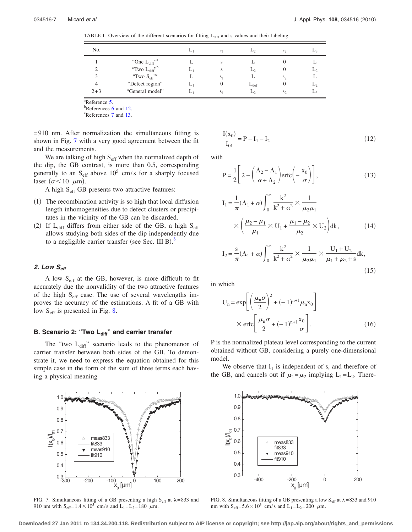<span id="page-6-0"></span>TABLE I. Overview of the different scenarios for fitting L<sub>diff</sub> and s values and their labeling.

| No.     |                          | L١ | S <sub>1</sub> |                  | $S_{2}$        |    |
|---------|--------------------------|----|----------------|------------------|----------------|----|
|         | "One L <sub>diff</sub> " |    | s              |                  |                |    |
| ◠       | "Two $L_{diff}$ ",       | L, | S              | L٥               |                | ∼∟ |
| 3       | "Two $S_{\text{eff}}$ "  |    | S <sub>1</sub> |                  | S <sub>2</sub> |    |
| 4       | "Defect region"          | L۱ | $\theta$       | $L_{\text{def}}$ |                | ⊷  |
| $2 + 3$ | "General model"          | L١ | S <sub>1</sub> | L٥               | $S_{2}$        | L3 |

 $R$ eference [5.](#page-12-3)

 $b^b$ References [6](#page-12-4) and [12.](#page-12-10)

References [7](#page-12-5) and [13.](#page-12-11)

= 910 nm. After normalization the simultaneous fitting is shown in Fig. [7](#page-6-1) with a very good agreement between the fit and the measurements.

We are talking of high  $S_{\text{eff}}$  when the normalized depth of the dip, the GB contrast, is more than 0.5, corresponding generally to an  $S_{\text{eff}}$  above 10<sup>5</sup> cm/s for a sharply focused laser ( $\sigma$ <10  $\mu$ m).

A high S<sub>eff</sub> GB presents two attractive features:

- (1) The recombination activity is so high that local diffusion length inhomogeneities due to defect clusters or precipitates in the vicinity of the GB can be discarded.
- (2) If  $L_{diff}$  differs from either side of the GB, a high  $S_{eff}$ allows studying both sides of the dip independently due to a negligible carrier transfer (see Sec. III B). $^{8}$  $^{8}$  $^{8}$

# *2. Low Seff*

A low  $S_{\text{eff}}$  at the GB, however, is more difficult to fit accurately due the nonvalidity of the two attractive features of the high  $S<sub>eff</sub>$  case. The use of several wavelengths improves the accuracy of the estimations. A fit of a GB with low S<sub>eff</sub> is presented in Fig. [8.](#page-6-2)

# **B. Scenario 2: "Two L**<sub>diff</sub>" and carrier transfer

The "two  $L_{diff}$ " scenario leads to the phenomenon of carrier transfer between both sides of the GB. To demonstrate it, we need to express the equation obtained for this simple case in the form of the sum of three terms each having a physical meaning

<span id="page-6-1"></span>

FIG. 7. Simultaneous fitting of a GB presenting a high  $S_{\text{eff}}$  at  $\lambda = 833$  and 910 nm with  $S_{\text{eff}}=1.4\times10^5$  cm/s and  $L_1=L_2=180$   $\mu$ m.

$$
\frac{I(x_0)}{I_{01}} = P - I_1 - I_2
$$
\n(12)

with

$$
P = \frac{1}{2} \left[ 2 - \left( \frac{\Lambda_2 - \Lambda_1}{\alpha + \Lambda_2} \right) \text{erfc} \left( -\frac{x_0}{\sigma} \right) \right],\tag{13}
$$

$$
I_{1} = \frac{1}{\pi} (\Lambda_{1} + \alpha) \int_{0}^{\infty} \frac{k^{2}}{k^{2} + \alpha^{2}} \times \frac{1}{\mu_{2} \mu_{1}} \times \left( \frac{\mu_{2} - \mu_{1}}{\mu_{1}} \times U_{1} + \frac{\mu_{1} - \mu_{2}}{\mu_{2}} \times U_{2} \right) dk, \tag{14}
$$

$$
I_2 = \frac{s}{\pi} (\Lambda_1 + \alpha) \int_0^\infty \frac{k^2}{k^2 + \alpha^2} \times \frac{1}{\mu_2 \mu_1} \times \frac{U_1 + U_2}{\mu_1 + \mu_2 + s} dk,
$$
\n(15)

in which

$$
U_n = \exp\left[\left(\frac{\mu_n \sigma}{2}\right)^2 + (-1)^{n+1} \mu_n x_0\right]
$$

$$
\times \operatorname{erfc}\left[\frac{\mu_n \sigma}{2} + (-1)^{n+1} \frac{x_0}{\sigma}\right].
$$
 (16)

P is the normalized plateau level corresponding to the current obtained without GB, considering a purely one-dimensional model.

We observe that  $I_1$  is independent of s, and therefore of the GB, and cancels out if  $\mu_1=\mu_2$  implying  $L_1=L_2$ . There-

<span id="page-6-2"></span>

FIG. 8. Simultaneous fitting of a GB presenting a low  $S_{\text{eff}}$  at  $\lambda$  = 833 and 910 nm with  $S_{\text{eff}} = 5.6 \times 10^3$  cm/s and  $L_1 = L_2 = 200 \mu$ m.

**Downloaded 27 Jan 2011 to 134.34.200.118. Redistribution subject to AIP license or copyright; see http://jap.aip.org/about/rights\_and\_permissions**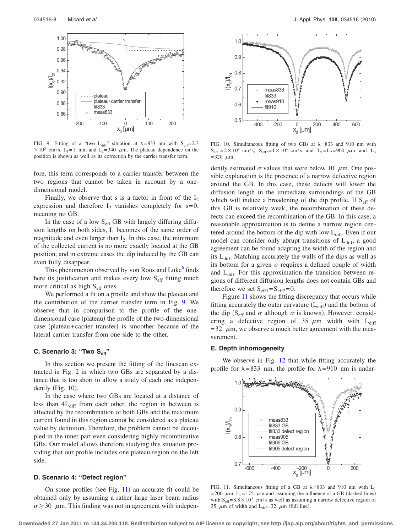<span id="page-7-0"></span>

FIG. 9. Fitting of a "two  $L_{diff}$ " situation at  $\lambda = 833$  nm with  $S_{eff} = 2.3$  $\times 10^3$  cm/s, L<sub>1</sub>=1 mm and L<sub>2</sub>=340  $\mu$ m. The plateau dependence on the position is shown as well as its correction by the carrier transfer term.

fore, this term corresponds to a carrier transfer between the two regions that cannot be taken in account by a onedimensional model.

Finally, we observe that s is a factor in front of the  $I_2$ expression and therefore  $I_2$  vanishes completely for s=0, meaning no GB.

In the case of a low  $S_{\text{eff}}$  GB with largely differing diffusion lengths on both sides,  $I_1$  becomes of the same order of magnitude and even larger than  $I_2$ . In this case, the minimum of the collected current is no more exactly located at the GB position, and in extreme cases the dip induced by the GB can even fully disappear.

This phenomenon observed by von Roos and Luke<sup>o</sup> finds here its justification and makes every low  $S_{\text{eff}}$  fitting much more critical as high  $S<sub>eff</sub>$  ones.

We performed a fit on a profile and show the plateau and the contribution of the carrier transfer term in Fig. [9.](#page-7-0) We observe that in comparison to the profile of the onedimensional case (plateau) the profile of the two-dimensional case (plateau+carrier transfer) is smoother because of the lateral carrier transfer from one side to the other.

# **C. Scenario 3: "Two Seff"**

In this section we present the fitting of the linescan extracted in Fig. [2](#page-4-0) in which two GBs are separated by a distance that is too short to allow a study of each one independently (Fig.  $10$ ).

In the case where two GBs are located at a distance of less than  $4L_{diff}$  from each other, the region in between is affected by the recombination of both GBs and the maximum current found in this region cannot be considered as a plateau value by definition. Therefore, the problem cannot be decoupled in the inner part even considering highly recombinative GBs. Our model allows therefore studying this situation providing that our profile includes one plateau region on the left side.

### **D. Scenario 4: "Defect region"**

On some profiles (see Fig.  $11$ ) an accurate fit could be obtained only by assuming a rather large laser beam radius  $\sigma$  > 30  $\mu$ m. This finding was not in agreement with indepen-

<span id="page-7-1"></span>

FIG. 10. Simultaneous fitting of two GBs at  $\lambda = 833$  and 910 nm with  $S_{\text{eff1}} = 2 \times 10^4 \text{ cm/s}, S_{\text{eff2}} = 1 \times 10^4 \text{ cm/s}$  and  $L_1 = L_2 = 900 \mu \text{m}$  and  $L_3$  $= 320 \mu m$ .

dently estimated  $\sigma$  values that were below 10  $\mu$ m. One possible explanation is the presence of a narrow defective region around the GB. In this case, these defects will lower the diffusion length in the immediate surroundings of the GB which will induce a broadening of the dip profile. If S<sub>eff</sub> of this GB is relatively weak, the recombination of these defects can exceed the recombination of the GB. In this case, a reasonable approximation is to define a narrow region centered around the bottom of the dip with low  $L_{diff}$ . Even if our model can consider only abrupt transitions of  $L<sub>diff</sub>$ , a good agreement can be found adapting the width of the region and its  $L_{diff}$ . Matching accurately the walls of the dips as well as its bottom for a given  $\sigma$  requires a defined couple of width and  $L<sub>diff</sub>$ . For this approximation the transition between regions of different diffusion lengths does not contain GBs and therefore we set  $S_{\text{eff1}}=S_{\text{eff2}}=0$ .

Figure [11](#page-7-2) shows the fitting discrepancy that occurs while fitting accurately the outer curvature  $(L_{diff})$  and the bottom of the dip (S<sub>eff</sub> and  $\sigma$  although  $\sigma$  is known). However, considering a defective region of 35  $\mu$ m width with L<sub>diff</sub>  $= 32 \mu m$ , we observe a much better agreement with the measurement.

#### **E. Depth inhomogeneity**

We observe in Fig. [12](#page-8-0) that while fitting accurately the profile for  $\lambda = 833$  nm, the profile for  $\lambda = 910$  nm is under-

<span id="page-7-2"></span>

FIG. 11. Simultaneous fitting of a GB at  $\lambda = 833$  and 910 nm with L<sub>1</sub> = 200  $\mu$ m, L<sub>2</sub>=175  $\mu$ m and assuming the influence of a GB (dashed lines) with  $S_{\text{eff}}=8.8\times10^3$  cm/s as well as assuming a narrow defective region of 35  $\mu$ m of width and L<sub>def</sub>=32  $\mu$ m (full line).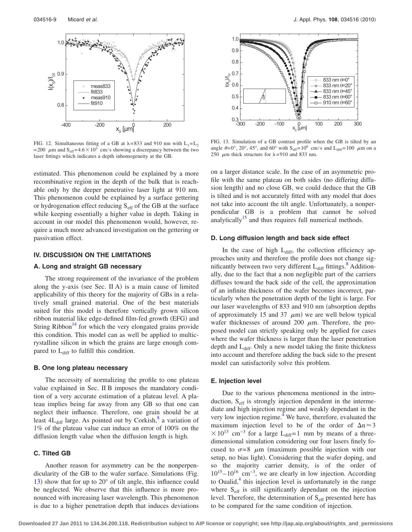<span id="page-8-0"></span>

FIG. 12. Simultaneous fitting of a GB at  $\lambda$  = 833 and 910 nm with L<sub>1</sub>=L<sub>2</sub> = 200  $\mu$ m and S<sub>eff</sub>= 4.6 × 10<sup>3</sup> cm/s showing a discrepancy between the two laser fittings which indicates a depth inhomogeneity at the GB.

estimated. This phenomenon could be explained by a more recombinative region in the depth of the bulk that is reachable only by the deeper penetrative laser light at 910 nm. This phenomenon could be explained by a surface gettering or hydrogenation effect reducing S<sub>eff</sub> of the GB at the surface while keeping essentially a higher value in depth. Taking in account in our model this phenomenon would, however, require a much more advanced investigation on the gettering or passivation effect.

### **IV. DISCUSSION ON THE LIMITATIONS**

# **A. Long and straight GB necessary**

The strong requirement of the invariance of the problem along the y-axis (see Sec. II A) is a main cause of limited applicability of this theory for the majority of GBs in a relatively small grained material. One of the best materials suited for this model is therefore vertically grown silicon ribbon material like edge-defined film-fed growth (EFG) and String Ribbon<sup>14</sup> for which the very elongated grains provide this condition. This model can as well be applied to multicrystalline silicon in which the grains are large enough compared to L<sub>diff</sub> to fulfill this condition.

#### **B. One long plateau necessary**

The necessity of normalizing the profile to one plateau value explained in Sec. II B imposes the mandatory condition of a very accurate estimation of a plateau level. A plateau implies being far away from any GB so that one can neglect their influence. Therefore, one grain should be at least  $4L_{diff}$  large. As pointed out by Corkish, $8$  a variation of 1% of the plateau value can induce an error of 100% on the diffusion length value when the diffusion length is high.

### **C. Tilted GB**

Another reason for asymmetry can be the nonperpendicularity of the GB to the wafer surface. Simulations (Fig. [13](#page-8-1)) show that for up to  $20^{\circ}$  of tilt angle, this influence could be neglected. We observe that this influence is more pronounced with increasing laser wavelength. This phenomenon is due to a higher penetration depth that induces deviations

<span id="page-8-1"></span>

FIG. 13. Simulation of a GB contrast profile when the GB is tilted by an angle  $\theta = 0^\circ$ ,  $20^\circ$ ,  $45^\circ$ , and  $60^\circ$  with  $S_{\text{eff}} = 10^6$  cm/s and  $L_{\text{diff}} = 100 \mu m$  on a 250  $\mu$ m thick structure for  $\lambda = 910$  and 833 nm.

on a larger distance scale. In the case of an asymmetric profile with the same plateau on both sides (no differing diffusion length) and no close GB, we could deduce that the GB is tilted and is not accurately fitted with any model that does not take into account the tilt angle. Unfortunately, a nonperpendicular GB is a problem that cannot be solved analytically<sup>15</sup> and thus requires full numerical methods.

### **D. Long diffusion length and back side effect**

In the case of high  $L_{diff}$ , the collection efficiency approaches unity and therefore the profile does not change significantly between two very different  $L_{diff}$  fittings.<sup>8</sup> Additionally, due to the fact that a non negligible part of the carriers diffuses toward the back side of the cell, the approximation of an infinite thickness of the wafer becomes incorrect, particularly when the penetration depth of the light is large. For our laser wavelengths of 833 and 910 nm (absorption depths of approximately 15 and 37  $\mu$ m) we are well below typical wafer thicknesses of around 200  $\mu$ m. Therefore, the proposed model can strictly speaking only be applied for cases where the wafer thickness is larger than the laser penetration depth and  $L_{diff}$ . Only a new model taking the finite thickness into account and therefore adding the back side to the present model can satisfactorily solve this problem.

### **E. Injection level**

Due to the various phenomena mentioned in the introduction,  $S_{\text{eff}}$  is strongly injection dependent in the intermediate and high injection regime and weakly dependant in the very low injection regime.<sup>4</sup> We have, therefore, evaluated the maximum injection level to be of the order of  $\Delta n \approx 3$  $\times$  10<sup>13</sup> cm<sup>-3</sup> for a large L<sub>diff</sub>=1 mm by means of a threedimensional simulation considering our four lasers finely focused to  $\sigma = 8$   $\mu$ m (maximum possible injection with our setup, no bias light). Considering that the wafer doping, and so the majority carrier density, is of the order of  $10^{15} - 10^{16}$  cm<sup>-3</sup>, we are clearly in low injection. According to Oualid, $<sup>4</sup>$  this injection level is unfortunately in the range</sup> where  $S_{\text{eff}}$  is still significantly dependant on the injection level. Therefore, the determination of  $S<sub>eff</sub>$  presented here has to be compared for the same condition of injection.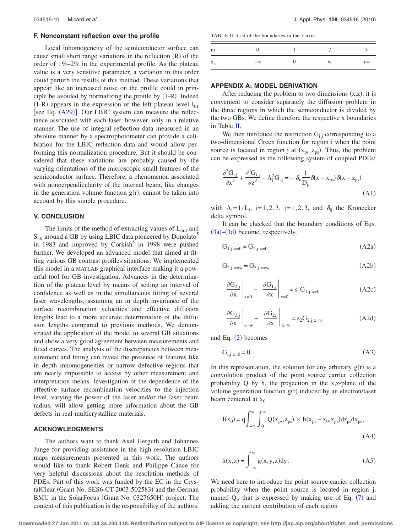#### **F. Nonconstant reflection over the profile**

Local inhomogeneity of the semiconductor surface can cause small short range variations in the reflection (R) of the order of 1%–2% in the experimental profile. As the plateau value is a very sensitive parameter, a variation in this order could perturb the results of this method. These variations that appear like an increased noise on the profile could in principle be avoided by normalizing the profile by  $(1-R)$ . Indeed  $(1-R)$  appears in the expression of the left plateau level  $I_{01}$ [see Eq.  $(A29)$  $(A29)$  $(A29)$ ]. Our LBIC system can measure the reflectance associated with each laser, however, only in a relative manner. The use of integral reflection data measured in an absolute manner by a spectrophotometer can provide a calibration for the LBIC reflection data and would allow performing this normalization procedure. But it should be considered that these variations are probably caused by the varying orientations of the microscopic small features of the semiconductor surface. Therefore, a phenomenon associated with nonperpendicularity of the internal beam, like changes in the generation volume function  $g(r)$ , cannot be taken into account by this simple procedure.

### **V. CONCLUSION**

The limits of the method of extracting values of  $L_{diff}$  and  $S_{\text{eff}}$  around a GB by using LBIC data pioneered by Donolato<sup>5</sup> in 1983 and improved by Corkish $\delta$  in 1998 were pushed further. We developed an advanced model that aimed at fitting various GB contrast profiles situations. We implemented this model in a MATLAB graphical interface making it a powerful tool for GB investigation. Advances in the determination of the plateau level by means of setting an interval of confidence as well as in the simultaneous fitting of several laser wavelengths, assuming an in depth invariance of the surface recombination velocities and effective diffusion lengths lead to a more accurate determination of the diffusion lengths compared to previous methods. We demonstrated the application of the model to several GB situations and show a very good agreement between measurements and fitted curves. The analysis of the discrepancies between measurement and fitting can reveal the presence of features like in depth inhomogeneities or narrow defective regions that are nearly impossible to access by other measurement and interpretation means. Investigation of the dependence of the effective surface recombination velocities to the injection level, varying the power of the laser and/or the laser beam radius, will allow getting more information about the GB defects in real multicrystalline materials.

### **ACKNOWLEDGMENTS**

The authors want to thank Axel Herguth and Johannes Junge for providing assistance in the high resolution LBIC maps measurements presented in this work. The authors would like to thank Robert Denk and Philippe Cance for very helpful discussions about the resolution methods of PDEs. Part of this work was funded by the EC in the CrystalClear (Grant No. SES6-CT-2003-502583) and the German BMU in the SolarFocus (Grant No. 0327650H) project. The content of this publication is the responsibility of the authors.

<span id="page-9-0"></span>TABLE II. List of the boundaries in the x-axis.

| m                   |           |   |           |
|---------------------|-----------|---|-----------|
| $^{\prime\prime}$ m | $-\infty$ | W | $+\infty$ |

### **APPENDIX A: MODEL DERIVATION**

After reducing the problem to two dimensions  $(x,z)$ , it is convenient to consider separately the diffusion problem in the three regions in which the semiconductor is divided by the two GBs. We define therefore the respective x boundaries in Table [II.](#page-9-0)

We then introduce the restriction  $G_{i,j}$  corresponding to a two-dimensional Green function for region i when the point source is located in region j at  $(x_{ps}, z_{ps})$ . Thus, the problem can be expressed as the following system of coupled PDEs:

<span id="page-9-3"></span>
$$
\frac{\partial^2 G_{i,j}}{\partial x^2} + \frac{\partial^2 G_{i,j}}{\partial z^2} - \Lambda_i^2 G_{i,j} = -\delta_{ij} \frac{1}{D_p} \delta(x - x_{ps}) \delta(x - z_{ps})
$$
\n(A1)

with  $\Lambda_i = 1/L_i$ , i=1,2,3, j=1,2,3, and  $\delta_{ij}$  the Kronecker delta symbol.

It can be checked that the boundary conditions of Eqs. ([3a](#page-1-2))–([3d](#page-1-5)) become, respectively,

<span id="page-9-4"></span>
$$
G_{1,j}|_{x=0} = G_{2,j}|_{x=0}
$$
 (A2a)

$$
G_{2,j}|_{x=w} = G_{3,j}|_{x=w}
$$
\n(A2b)

$$
\left. \frac{\partial G_{2,j}}{\partial x} \right|_{x=0} - \left. \frac{\partial G_{1,j}}{\partial x} \right|_{x=0} = s_1 G_{1,j}|_{x=0}
$$
 (A2c)

<span id="page-9-5"></span>
$$
\left. \frac{\partial G_{3,j}}{\partial x} \right|_{x=w} - \left. \frac{\partial G_{2,j}}{\partial x} \right|_{x=w} = s_2 G_{2,j}|_{x=w}
$$
 (A2d)

<span id="page-9-2"></span>and Eq.  $(2)$  $(2)$  $(2)$  becomes

$$
G_{i,j}|_{z=0} = 0.\t\t(A3)
$$

In this representation, the solution for any arbitrary  $g(r)$  is a convolution product of the point source carrier collection probability Q by h, the projection in the x,z-plane of the volume generation function  $g(r)$  induced by an electron/laser beam centered at  $x_0$ 

<span id="page-9-1"></span>
$$
I(x_0) = q \int_{-\infty}^{\infty} \int_{0}^{\infty} Q(x_{ps}, z_{ps}) \times h(x_{ps} - x_0, z_{ps}) dz_{ps} dx_{ps},
$$
\n(A4)

<span id="page-9-6"></span>
$$
h(x, z) = \int_{-\infty}^{\infty} g(x, y, z) dy.
$$
 (A5)

We need here to introduce the point source carrier collection probability when the point source is located in region j, named  $Q_j$ , that is expressed by making use of Eq.  $(7)$  $(7)$  $(7)$  and adding the current contribution of each region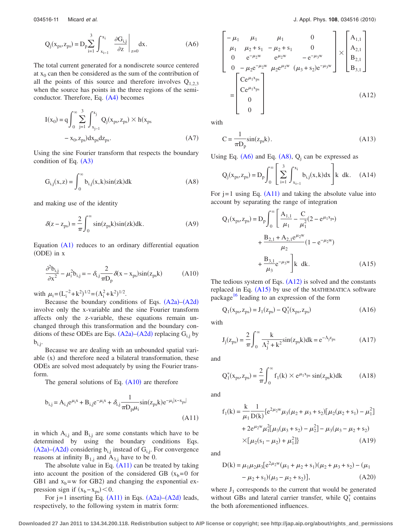<span id="page-10-2"></span>
$$
Q_j(x_{ps}, z_{ps}) = D_p \sum_{i=1}^3 \int_{x_{i-1}}^{x_i} \left. \frac{\partial G_{i,j}}{\partial z} \right|_{z=0} dx.
$$
 (A6)

The total current generated for a nondiscrete source centered at  $x_0$  can then be considered as the sum of the contribution of all the points of this source and therefore involves  $Q_{1,2,3}$ when the source has points in the three regions of the semi-conductor. Therefore, Eq. ([A4](#page-9-1)) becomes

$$
I(x_0) = q \int_0^{\infty} \sum_{j=1}^3 \int_{x_{j-1}}^{x_j} Q_j(x_{ps}, z_{ps}) \times h(x_{ps} - x_0, z_{ps}) dx_{ps} dz_{ps}.
$$
 (A7)

Using the sine Fourier transform that respects the boundary condition of Eq.  $(A3)$  $(A3)$  $(A3)$ 

<span id="page-10-3"></span>
$$
G_{i,j}(x,z) = \int_0^\infty b_{i,j}(x,k)\sin(zk)dk
$$
 (A8)

and making use of the identity

$$
\delta(z - z_{\rm ps}) = \frac{2}{\pi} \int_0^\infty \sin(z_{\rm ps} k) \sin(z k) dk.
$$
 (A9)

Equation  $(A1)$  $(A1)$  $(A1)$  reduces to an ordinary differential equation (ODE) in x

<span id="page-10-0"></span>
$$
\frac{\partial^2 \mathbf{b}_{i,j}}{\partial \mathbf{x}^2} - \mu_i^2 \mathbf{b}_{i,j} = -\delta_{i,j} \frac{2}{\pi \mathbf{D}_p} \delta(\mathbf{x} - \mathbf{x}_{ps}) \sin(\mathbf{z}_{ps} \mathbf{k})
$$
(A10)

with  $\mu_i = (L_i^{-2} + k^2)^{1/2} = (\Lambda_i^2 + k^2)^{1/2}$ .

Because the boundary conditions of Eqs.  $(A2a)$  $(A2a)$  $(A2a)$ – $(A2d)$  $(A2d)$  $(A2d)$ involve only the x-variable and the sine Fourier transform affects only the z-variable, these equations remain unchanged through this transformation and the boundary conditions of these ODEs are Eqs.  $(A2a)$  $(A2a)$  $(A2a)$ – $(A2d)$  $(A2d)$  $(A2d)$  replacing  $G_{i,j}$  by  $b_{i,j}$ .

Because we are dealing with an unbounded spatial variable (x) and therefore need a bilateral transformation, these ODEs are solved most adequately by using the Fourier transform.

The general solutions of Eq.  $(A10)$  $(A10)$  $(A10)$  are therefore

<span id="page-10-1"></span>
$$
b_{i,j} = A_{i,j}e^{\mu_i x} + B_{i,j}e^{-\mu_i x} + \delta_{i,j}\frac{1}{\pi D_p \mu_i} \sin(z_{ps}k)e^{-\mu_i|x - x_{ps}|}
$$
(A11)

in which  $A_{i,j}$  and  $B_{i,j}$  are some constants which have to be determined by using the boundary conditions Eqs.  $(A2a)$  $(A2a)$  $(A2a)$ – $(A2d)$  $(A2d)$  $(A2d)$  considering  $b_{i,j}$  instead of  $G_{i,j}$ . For convergence reasons at infinity  $B_{1,j}$  and  $A_{3,j}$  have to be 0.

The absolute value in Eq.  $(A11)$  $(A11)$  $(A11)$  can be treated by taking into account the position of the considered GB  $(x_b=0$  for GB1 and  $x_b$ =w for GB2) and changing the exponential expression sign if  $(x_b - x_{ps}) < 0$ .

For  $j=1$  inserting Eq.  $(A11)$  $(A11)$  $(A11)$  in Eqs.  $(A2a)$  $(A2a)$  $(A2a)$ – $(A2d)$  $(A2d)$  $(A2d)$  leads, respectively, to the following system in matrix form:

<span id="page-10-4"></span>
$$
\begin{bmatrix}\n-\mu_1 & \mu_1 & \mu_1 & 0 \\
\mu_1 & \mu_2 + s_1 & -\mu_2 + s_1 & 0 \\
0 & e^{-\mu_2 w} & e^{\mu_2 w} & -e^{-\mu_3 w} \\
0 & -\mu_2 e^{-\mu_2 w} & \mu_2 e^{\mu_2 w} & (\mu_3 + s_2) e^{-\mu_3 w}\n\end{bmatrix}\n\times\n\begin{bmatrix}\nA_{1,1} \\
A_{2,1} \\
B_{2,1} \\
B_{3,1}\n\end{bmatrix}
$$
\n
$$
=\n\begin{bmatrix}\nCe^{\mu_1 x_{ps}} \\
Ce^{\mu_1 x_{ps}} \\
0 \\
0\n\end{bmatrix}
$$
\n(A12)

with

$$
C = \frac{1}{\pi D_p} \sin(z_{ps}k). \tag{A13}
$$

Using Eq.  $(A6)$  $(A6)$  $(A6)$  and Eq.  $(A8)$  $(A8)$  $(A8)$ ,  $Q<sub>j</sub>$  can be expressed as

$$
Q_j(x_{ps}, z_{ps}) = D_p \int_0^\infty \left[ \sum_{i=1}^3 \int_{x_{i-1}}^{x_i} b_{i,j}(x, k) dx \right] k \, dk. \quad (A14)
$$

For  $j = 1$  using Eq. ([A11](#page-10-1)) and taking the absolute value into account by separating the range of integration

<span id="page-10-5"></span>
$$
Q_1(x_{ps}, z_{ps}) = D_p \int_0^{\infty} \left[ \frac{A_{1,1}}{\mu_1} - \frac{C}{\mu_1^2} (2 - e^{\mu_1 x_{ps}}) + \frac{B_{2,1} + A_{2,1} e^{\mu_2 w}}{\mu_2} (1 - e^{-\mu_2 w}) + \frac{B_{3,1}}{\mu_3} e^{-\mu_3 w} \right] k \, dk.
$$
 (A15)

The tedious system of Eqs.  $(A12)$  $(A12)$  $(A12)$  is solved and the constants replaced in Eq.  $(A15)$  $(A15)$  $(A15)$  by use of the MATHEMATICA software package<sup>16</sup> leading to an expression of the form

<span id="page-10-6"></span>
$$
Q_1(x_{ps}, z_{ps}) = J_1(z_{ps}) - Q_1^*(x_{ps}, z_{ps})
$$
 (A16)

<span id="page-10-7"></span>with

$$
J_j(z_{ps}) = \frac{2}{\pi} \int_0^{\infty} \frac{k}{\Lambda_j^2 + k^2} \sin(z_{ps}k) dk = e^{-\Lambda_j z_{ps}}
$$
 (A17)

<span id="page-10-8"></span>and

$$
Q_1^*(x_{ps}, z_{ps}) = \frac{2}{\pi} \int_0^\infty f_1(k) \times e^{\mu_1 x_{ps}} \sin(z_{ps} k) dk
$$
 (A18)

and

$$
f_1(k) = \frac{k}{\mu_1} \frac{1}{D(k)} \{e^{2\mu_2 w} \mu_3(\mu_2 + \mu_3 + s_2) [\mu_2(\mu_2 + s_1) - \mu_1^2] + 2e^{\mu_2 w} \mu_1^2 [\mu_3(\mu_3 + s_2) - \mu_2^2] - \mu_3(\mu_3 - \mu_2 + s_2) \times [\mu_2(s_1 - \mu_2) + \mu_1^2] \}
$$
(A19)

and

D(k) = 
$$
\mu_1 \mu_2 \mu_3 [e^{2\mu_2 w} (\mu_1 + \mu_2 + s_1) (\mu_2 + \mu_3 + s_2) - (\mu_1 - \mu_2 + s_1) (\mu_3 - \mu_2 + s_2)],
$$
 (A20)

where  $J_1$  corresponds to the current that would be generated without GBs and lateral carrier transfer, while  $Q_1^*$  contains the both aforementioned influences.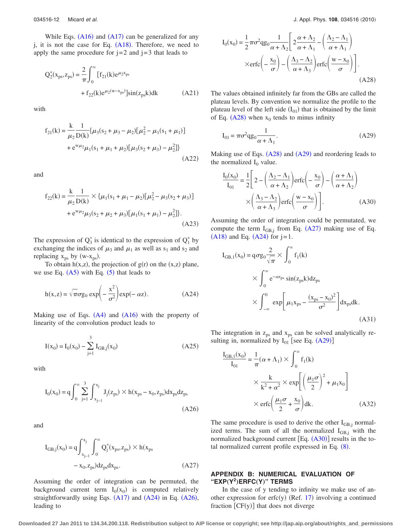While Eqs.  $(A16)$  $(A16)$  $(A16)$  and  $(A17)$  $(A17)$  $(A17)$  can be generalized for any j, it is not the case for Eq.  $(A18)$  $(A18)$  $(A18)$ . Therefore, we need to apply the same procedure for  $j=2$  and  $j=3$  that leads to

$$
Q_2^*(x_{ps}, z_{ps}) = \frac{2}{\pi} \int_0^{\infty} [f_{21}(k)e^{\mu_2 x_{ps}} + f_{22}(k)e^{\mu_2(w-x_{ps})}] \sin(z_{ps}k)dk
$$
 (A21)

<span id="page-11-0"></span>with

$$
f_{21}(k) = \frac{k}{\mu_2} \frac{1}{D(k)} {\mu_3(s_2 + \mu_3 - \mu_2) [\mu_2^2 - \mu_1(s_1 + \mu_1)] + e^{w\mu_2} \mu_1(s_1 + \mu_1 + \mu_2) [\mu_3(s_2 + \mu_3) - \mu_2^2]}
$$
\n(A22)

and

$$
f_{22}(k) = \frac{k}{\mu_2} \frac{1}{D(k)} \times {\mu_1(s_1 + \mu_1 - \mu_2)[\mu_2^2 - \mu_3(s_2 + \mu_3)] + e^{w\mu_2} \mu_3(s_2 + \mu_2 + \mu_3)[\mu_1(s_1 + \mu_1) - \mu_2^2]}.
$$
\n(A23)

The expression of  $Q_3^*$  is identical to the expression of  $Q_1^*$  by exchanging the indices of  $\mu_3$  and  $\mu_1$  as well as s<sub>1</sub> and s<sub>2</sub> and replacing  $x_{ps}$  by (w- $x_{ps}$ ).

To obtain  $h(x,z)$ , the projection of  $g(r)$  on the  $(x,z)$  plane, we use Eq.  $(A5)$  $(A5)$  $(A5)$  with Eq.  $(5)$  $(5)$  $(5)$  that leads to

<span id="page-11-2"></span>
$$
h(x, z) = \sqrt{\pi} \sigma g_0 \exp\left(-\frac{x^2}{\sigma^2}\right) \exp(-\alpha z). \tag{A24}
$$

Making use of Eqs.  $(A4)$  $(A4)$  $(A4)$  and  $(A16)$  $(A16)$  $(A16)$  with the property of linearity of the convolution product leads to

$$
I(x_0) = I_0(x_0) - \sum_{j=1}^{3} I_{GB,j}(x_0)
$$
 (A25)

<span id="page-11-3"></span>with

$$
I_0(x_0) = q \int_0^\infty \sum_{j=1}^3 \int_{x_{j-1}}^{x_j} J_j(z_{ps}) \times h(x_{ps} - x_0, z_{ps}) dx_{ps} dz_{ps}
$$
\n(A26)

<span id="page-11-5"></span>and

$$
I_{GB,j}(x_0) = q \int_{x_{j-1}}^{x_j} \int_0^{\infty} Q_j^*(x_{ps}, z_{ps}) \times h(x_{ps} - x_0, z_{ps}) dz_{ps} dx_{ps}.
$$
 (A27)

Assuming the order of integration can be permuted, the background current term  $I_0(x_0)$  is computed relatively straightforwardly using Eqs.  $(A17)$  $(A17)$  $(A17)$  and  $(A24)$  $(A24)$  $(A24)$  in Eq.  $(A26)$  $(A26)$  $(A26)$ , leading to

<span id="page-11-4"></span>
$$
I_0(x_0) = \frac{1}{2} \pi \sigma^2 q g_0 \frac{1}{\alpha + \Lambda_2} \left[ 2 \frac{\alpha + \Lambda_2}{\alpha + \Lambda_1} - \left( \frac{\Lambda_2 - \Lambda_1}{\alpha + \Lambda_1} \right) \right]
$$

$$
\times \text{erfc} \left( -\frac{x_0}{\sigma} \right) - \left( \frac{\Lambda_3 - \Lambda_2}{\alpha + \Lambda_3} \right) \text{erfc} \left( \frac{w - x_0}{\sigma} \right) \Bigg]. \tag{A28}
$$

The values obtained infinitely far from the GBs are called the plateau levels. By convention we normalize the profile to the plateau level of the left side  $(I_{01})$  that is obtained by the limit of Eq.  $(A28)$  $(A28)$  $(A28)$  when  $x_0$  tends to minus infinity

<span id="page-11-1"></span>
$$
I_{01} = \pi \sigma^2 q g_0 \frac{1}{\alpha + \Lambda_1}.
$$
 (A29)

Making use of Eqs. ([A28](#page-11-4)) and ([A29](#page-11-1)) and reordering leads to the normalized  $I_0$  value.

<span id="page-11-6"></span>
$$
\frac{I_0(x_0)}{I_{01}} = \frac{1}{2} \left[ 2 - \left( \frac{\Lambda_2 - \Lambda_1}{\alpha + \Lambda_2} \right) \text{erfc} \left( -\frac{x_0}{\sigma} \right) - \left( \frac{\alpha + \Lambda_1}{\alpha + \Lambda_2} \right) \right]
$$

$$
\times \left( \frac{\Lambda_3 - \Lambda_2}{\alpha + \Lambda_3} \right) \text{erfc} \left( \frac{w - x_0}{\sigma} \right) \bigg].
$$
 (A30)

Assuming the order of integration could be permutated, we compute the term  $I_{GB,j}$  from Eq. ([A27](#page-11-5)) making use of Eq.  $(A18)$  $(A18)$  $(A18)$  and Eq.  $(A24)$  $(A24)$  $(A24)$  for  $j=1$ .

$$
I_{GB,1}(x_0) = q\sigma g_0 \frac{2}{\sqrt{\pi}} \times \int_0^\infty f_1(k)
$$
  
 
$$
\times \int_0^\infty e^{-\alpha z_{ps}} \sin(z_{ps}k) dz_{ps}
$$
  
 
$$
\times \int_{-\infty}^0 \exp\left[\mu_1 x_{ps} - \frac{(x_{ps} - x_0)^2}{\sigma^2}\right] dx_{ps} dk.
$$
(A31)

The integration in  $z_{ps}$  and  $x_{ps}$  can be solved analytically resulting in, normalized by  $I_{01}$  [see Eq. ([A29](#page-11-1))]

$$
\frac{I_{GB,1}(x_0)}{I_{01}} = \frac{1}{\pi} (\alpha + \Lambda_1) \times \int_0^\infty f_1(k)
$$
  
 
$$
\times \frac{k}{k^2 + \alpha^2} \times \exp\left[ \left(\frac{\mu_1 \sigma}{2}\right)^2 + \mu_1 x_0 \right]
$$
  
 
$$
\times \operatorname{erfc} \left( \frac{\mu_1 \sigma}{2} + \frac{x_0}{\sigma} \right) dk. \tag{A32}
$$

The same procedure is used to derive the other  $I_{GB,i}$  normalized terms. The sum of all the normalized  $I_{GB,i}$  with the normalized background current  $[Eq. (A30)]$  $[Eq. (A30)]$  $[Eq. (A30)]$  results in the total normalized current profile expressed in Eq.  $(8)$  $(8)$  $(8)$ .

# **APPENDIX B: NUMERICAL EVALUATION OF "EXP**"**Y<sup>2</sup>**…**ERFC**"**Y**…**" TERMS**

In the case of y tending to infinity we make use of an-other expression for erfc(y) (Ref. [17](#page-12-15)) involving a continued fraction  $[CF(y)]$  that does not diverge

**Downloaded 27 Jan 2011 to 134.34.200.118. Redistribution subject to AIP license or copyright; see http://jap.aip.org/about/rights\_and\_permissions**